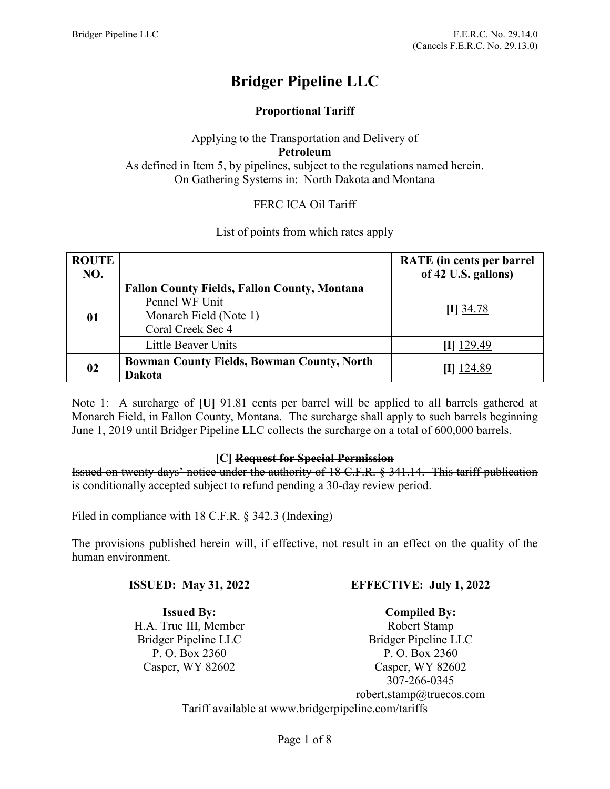## **Bridger Pipeline LLC**

#### **Proportional Tariff**

#### Applying to the Transportation and Delivery of **Petroleum** As defined in Item 5, by pipelines, subject to the regulations named herein. On Gathering Systems in: North Dakota and Montana

#### FERC ICA Oil Tariff

#### List of points from which rates apply

| <b>ROUTE</b><br>NO. |                                                                                                                      | <b>RATE</b> (in cents per barrel<br>of 42 U.S. gallons) |
|---------------------|----------------------------------------------------------------------------------------------------------------------|---------------------------------------------------------|
| 01                  | <b>Fallon County Fields, Fallon County, Montana</b><br>Pennel WF Unit<br>Monarch Field (Note 1)<br>Coral Creek Sec 4 | $[I]$ 34.78                                             |
|                     | Little Beaver Units                                                                                                  | $[I]$ 129.49                                            |
| 02                  | <b>Bowman County Fields, Bowman County, North</b><br><b>Dakota</b>                                                   | 124.89                                                  |

Note 1: A surcharge of **[U]** 91.81 cents per barrel will be applied to all barrels gathered at Monarch Field, in Fallon County, Montana. The surcharge shall apply to such barrels beginning June 1, 2019 until Bridger Pipeline LLC collects the surcharge on a total of 600,000 barrels.

#### **[C] Request for Special Permission**

Issued on twenty days' notice under the authority of 18 C.F.R. § 341.14. This tariff publication is conditionally accepted subject to refund pending a 30-day review period.

Filed in compliance with 18 C.F.R. § 342.3 (Indexing)

The provisions published herein will, if effective, not result in an effect on the quality of the human environment.

#### **ISSUED: May 31, 2022**

**Issued By:** H.A. True III, Member Bridger Pipeline LLC P. O. Box 2360 Casper, WY 82602

#### **EFFECTIVE: July 1, 2022**

**Compiled By:** Robert Stamp Bridger Pipeline LLC P. O. Box 2360 Casper, WY 82602 307-266-0345

robert.stamp@truecos.com Tariff available at www.bridgerpipeline.com/tariffs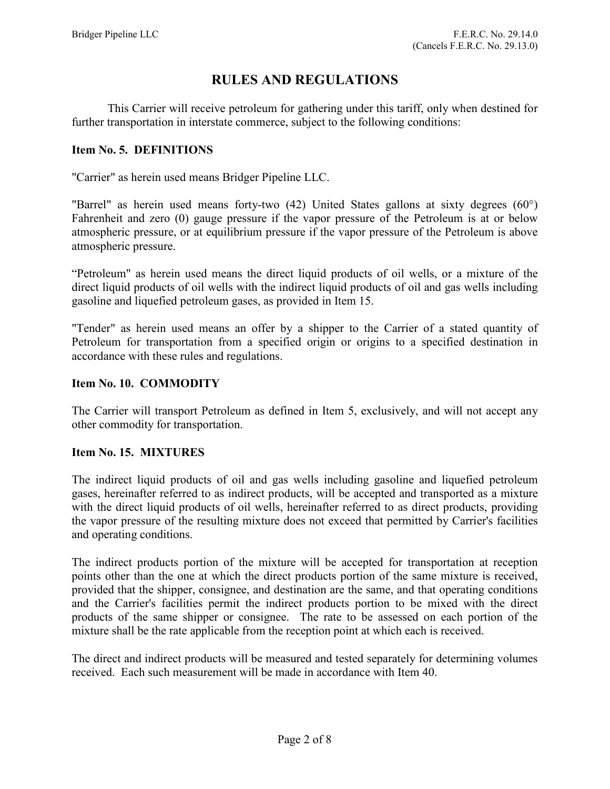### **RULES AND REGULATIONS**

This Carrier will receive petroleum for gathering under this tariff, only when destined for further transportation in interstate commerce, subject to the following conditions:

#### **Item No. 5. DEFINITIONS**

"Carrier" as herein used means Bridger Pipeline LLC.

"Barrel" as herein used means forty-two (42) United States gallons at sixty degrees (60°) Fahrenheit and zero (0) gauge pressure if the vapor pressure of the Petroleum is at or below atmospheric pressure, or at equilibrium pressure if the vapor pressure of the Petroleum is above atmospheric pressure.

"Petroleum" as herein used means the direct liquid products of oil wells, or a mixture of the direct liquid products of oil wells with the indirect liquid products of oil and gas wells including gasoline and liquefied petroleum gases, as provided in Item 15.

"Tender" as herein used means an offer by a shipper to the Carrier of a stated quantity of Petroleum for transportation from a specified origin or origins to a specified destination in accordance with these rules and regulations.

#### **Item No. 10. COMMODITY**

The Carrier will transport Petroleum as defined in Item 5, exclusively, and will not accept any other commodity for transportation.

#### **Item No. 15. MIXTURES**

The indirect liquid products of oil and gas wells including gasoline and liquefied petroleum gases, hereinafter referred to as indirect products, will be accepted and transported as a mixture with the direct liquid products of oil wells, hereinafter referred to as direct products, providing the vapor pressure of the resulting mixture does not exceed that permitted by Carrier's facilities and operating conditions.

The indirect products portion of the mixture will be accepted for transportation at reception points other than the one at which the direct products portion of the same mixture is received, provided that the shipper, consignee, and destination are the same, and that operating conditions and the Carrier's facilities permit the indirect products portion to be mixed with the direct products of the same shipper or consignee. The rate to be assessed on each portion of the mixture shall be the rate applicable from the reception point at which each is received.

The direct and indirect products will be measured and tested separately for determining volumes received. Each such measurement will be made in accordance with Item 40.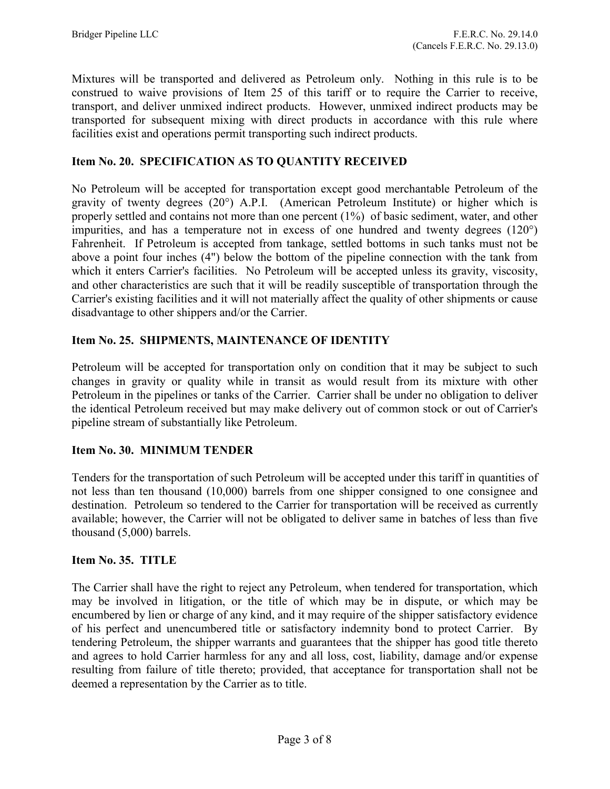Mixtures will be transported and delivered as Petroleum only. Nothing in this rule is to be construed to waive provisions of Item 25 of this tariff or to require the Carrier to receive, transport, and deliver unmixed indirect products. However, unmixed indirect products may be transported for subsequent mixing with direct products in accordance with this rule where facilities exist and operations permit transporting such indirect products.

#### **Item No. 20. SPECIFICATION AS TO QUANTITY RECEIVED**

No Petroleum will be accepted for transportation except good merchantable Petroleum of the gravity of twenty degrees (20°) A.P.I. (American Petroleum Institute) or higher which is properly settled and contains not more than one percent (1%) of basic sediment, water, and other impurities, and has a temperature not in excess of one hundred and twenty degrees (120°) Fahrenheit. If Petroleum is accepted from tankage, settled bottoms in such tanks must not be above a point four inches (4") below the bottom of the pipeline connection with the tank from which it enters Carrier's facilities. No Petroleum will be accepted unless its gravity, viscosity, and other characteristics are such that it will be readily susceptible of transportation through the Carrier's existing facilities and it will not materially affect the quality of other shipments or cause disadvantage to other shippers and/or the Carrier.

#### **Item No. 25. SHIPMENTS, MAINTENANCE OF IDENTITY**

Petroleum will be accepted for transportation only on condition that it may be subject to such changes in gravity or quality while in transit as would result from its mixture with other Petroleum in the pipelines or tanks of the Carrier. Carrier shall be under no obligation to deliver the identical Petroleum received but may make delivery out of common stock or out of Carrier's pipeline stream of substantially like Petroleum.

#### **Item No. 30. MINIMUM TENDER**

Tenders for the transportation of such Petroleum will be accepted under this tariff in quantities of not less than ten thousand (10,000) barrels from one shipper consigned to one consignee and destination. Petroleum so tendered to the Carrier for transportation will be received as currently available; however, the Carrier will not be obligated to deliver same in batches of less than five thousand (5,000) barrels.

#### **Item No. 35. TITLE**

The Carrier shall have the right to reject any Petroleum, when tendered for transportation, which may be involved in litigation, or the title of which may be in dispute, or which may be encumbered by lien or charge of any kind, and it may require of the shipper satisfactory evidence of his perfect and unencumbered title or satisfactory indemnity bond to protect Carrier. By tendering Petroleum, the shipper warrants and guarantees that the shipper has good title thereto and agrees to hold Carrier harmless for any and all loss, cost, liability, damage and/or expense resulting from failure of title thereto; provided, that acceptance for transportation shall not be deemed a representation by the Carrier as to title.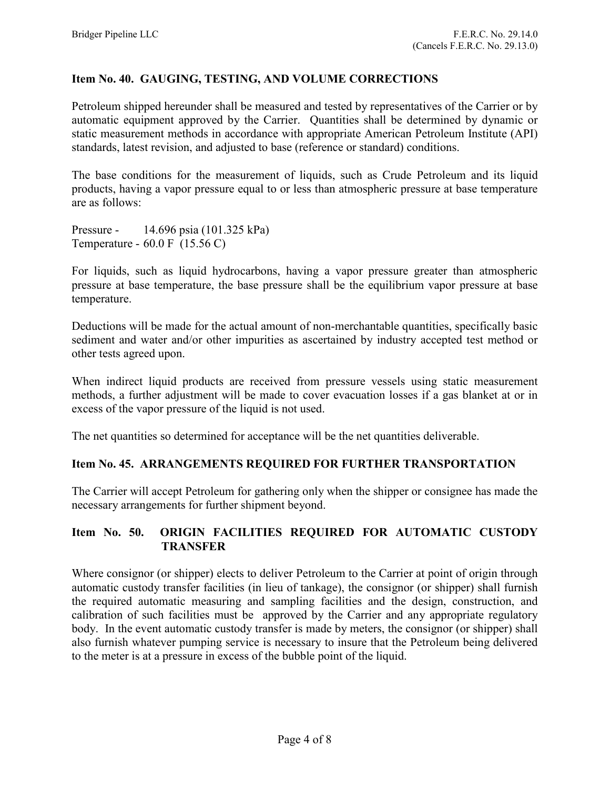#### **Item No. 40. GAUGING, TESTING, AND VOLUME CORRECTIONS**

Petroleum shipped hereunder shall be measured and tested by representatives of the Carrier or by automatic equipment approved by the Carrier. Quantities shall be determined by dynamic or static measurement methods in accordance with appropriate American Petroleum Institute (API) standards, latest revision, and adjusted to base (reference or standard) conditions.

The base conditions for the measurement of liquids, such as Crude Petroleum and its liquid products, having a vapor pressure equal to or less than atmospheric pressure at base temperature are as follows:

Pressure - 14.696 psia (101.325 kPa) Temperature - 60.0 F (15.56 C)

For liquids, such as liquid hydrocarbons, having a vapor pressure greater than atmospheric pressure at base temperature, the base pressure shall be the equilibrium vapor pressure at base temperature.

Deductions will be made for the actual amount of non-merchantable quantities, specifically basic sediment and water and/or other impurities as ascertained by industry accepted test method or other tests agreed upon.

When indirect liquid products are received from pressure vessels using static measurement methods, a further adjustment will be made to cover evacuation losses if a gas blanket at or in excess of the vapor pressure of the liquid is not used.

The net quantities so determined for acceptance will be the net quantities deliverable.

#### **Item No. 45. ARRANGEMENTS REQUIRED FOR FURTHER TRANSPORTATION**

The Carrier will accept Petroleum for gathering only when the shipper or consignee has made the necessary arrangements for further shipment beyond.

#### **Item No. 50. ORIGIN FACILITIES REQUIRED FOR AUTOMATIC CUSTODY TRANSFER**

Where consignor (or shipper) elects to deliver Petroleum to the Carrier at point of origin through automatic custody transfer facilities (in lieu of tankage), the consignor (or shipper) shall furnish the required automatic measuring and sampling facilities and the design, construction, and calibration of such facilities must be approved by the Carrier and any appropriate regulatory body. In the event automatic custody transfer is made by meters, the consignor (or shipper) shall also furnish whatever pumping service is necessary to insure that the Petroleum being delivered to the meter is at a pressure in excess of the bubble point of the liquid.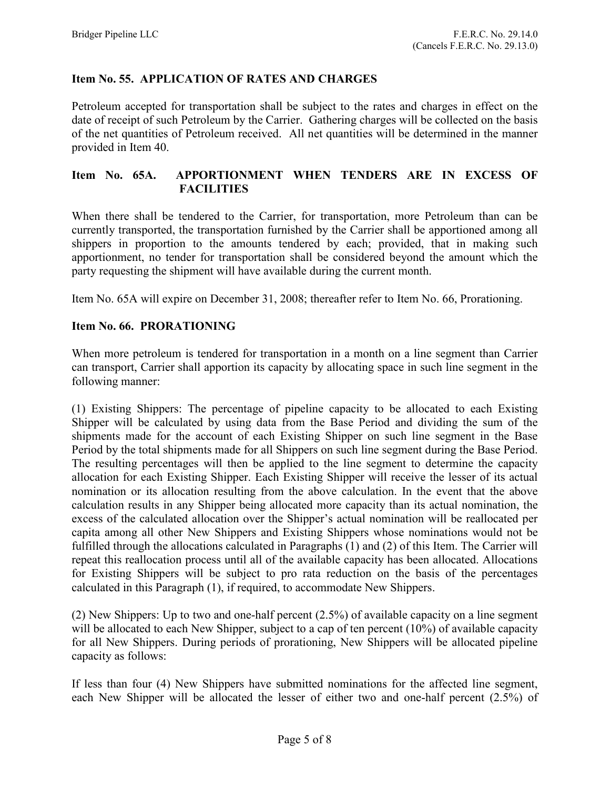#### **Item No. 55. APPLICATION OF RATES AND CHARGES**

Petroleum accepted for transportation shall be subject to the rates and charges in effect on the date of receipt of such Petroleum by the Carrier. Gathering charges will be collected on the basis of the net quantities of Petroleum received. All net quantities will be determined in the manner provided in Item 40.

#### **Item No. 65A. APPORTIONMENT WHEN TENDERS ARE IN EXCESS OF FACILITIES**

When there shall be tendered to the Carrier, for transportation, more Petroleum than can be currently transported, the transportation furnished by the Carrier shall be apportioned among all shippers in proportion to the amounts tendered by each; provided, that in making such apportionment, no tender for transportation shall be considered beyond the amount which the party requesting the shipment will have available during the current month.

Item No. 65A will expire on December 31, 2008; thereafter refer to Item No. 66, Prorationing.

#### **Item No. 66. PRORATIONING**

When more petroleum is tendered for transportation in a month on a line segment than Carrier can transport, Carrier shall apportion its capacity by allocating space in such line segment in the following manner:

(1) Existing Shippers: The percentage of pipeline capacity to be allocated to each Existing Shipper will be calculated by using data from the Base Period and dividing the sum of the shipments made for the account of each Existing Shipper on such line segment in the Base Period by the total shipments made for all Shippers on such line segment during the Base Period. The resulting percentages will then be applied to the line segment to determine the capacity allocation for each Existing Shipper. Each Existing Shipper will receive the lesser of its actual nomination or its allocation resulting from the above calculation. In the event that the above calculation results in any Shipper being allocated more capacity than its actual nomination, the excess of the calculated allocation over the Shipper's actual nomination will be reallocated per capita among all other New Shippers and Existing Shippers whose nominations would not be fulfilled through the allocations calculated in Paragraphs (1) and (2) of this Item. The Carrier will repeat this reallocation process until all of the available capacity has been allocated. Allocations for Existing Shippers will be subject to pro rata reduction on the basis of the percentages calculated in this Paragraph (1), if required, to accommodate New Shippers.

(2) New Shippers: Up to two and one-half percent (2.5%) of available capacity on a line segment will be allocated to each New Shipper, subject to a cap of ten percent (10%) of available capacity for all New Shippers. During periods of prorationing, New Shippers will be allocated pipeline capacity as follows:

If less than four (4) New Shippers have submitted nominations for the affected line segment, each New Shipper will be allocated the lesser of either two and one-half percent (2.5%) of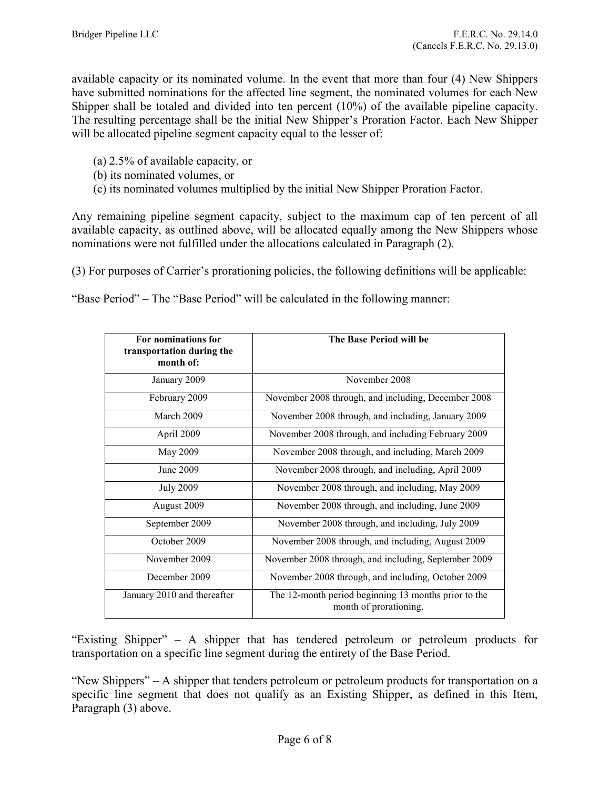available capacity or its nominated volume. In the event that more than four (4) New Shippers have submitted nominations for the affected line segment, the nominated volumes for each New Shipper shall be totaled and divided into ten percent (10%) of the available pipeline capacity. The resulting percentage shall be the initial New Shipper's Proration Factor. Each New Shipper will be allocated pipeline segment capacity equal to the lesser of:

- (a) 2.5% of available capacity, or
- (b) its nominated volumes, or
- (c) its nominated volumes multiplied by the initial New Shipper Proration Factor.

Any remaining pipeline segment capacity, subject to the maximum cap of ten percent of all available capacity, as outlined above, will be allocated equally among the New Shippers whose nominations were not fulfilled under the allocations calculated in Paragraph (2).

(3) For purposes of Carrier's prorationing policies, the following definitions will be applicable:

"Base Period" – The "Base Period" will be calculated in the following manner:

| For nominations for<br>transportation during the<br>month of: | The Base Period will be                                                        |
|---------------------------------------------------------------|--------------------------------------------------------------------------------|
| January 2009                                                  | November 2008                                                                  |
| February 2009                                                 | November 2008 through, and including, December 2008                            |
| March 2009                                                    | November 2008 through, and including, January 2009                             |
| April 2009                                                    | November 2008 through, and including February 2009                             |
| May 2009                                                      | November 2008 through, and including, March 2009                               |
| June 2009                                                     | November 2008 through, and including, April 2009                               |
| <b>July 2009</b>                                              | November 2008 through, and including, May 2009                                 |
| August 2009                                                   | November 2008 through, and including, June 2009                                |
| September 2009                                                | November 2008 through, and including, July 2009                                |
| October 2009                                                  | November 2008 through, and including, August 2009                              |
| November 2009                                                 | November 2008 through, and including, September 2009                           |
| December 2009                                                 | November 2008 through, and including, October 2009                             |
| January 2010 and thereafter                                   | The 12-month period beginning 13 months prior to the<br>month of prorationing. |

"Existing Shipper" – A shipper that has tendered petroleum or petroleum products for transportation on a specific line segment during the entirety of the Base Period.

"New Shippers" – A shipper that tenders petroleum or petroleum products for transportation on a specific line segment that does not qualify as an Existing Shipper, as defined in this Item, Paragraph (3) above.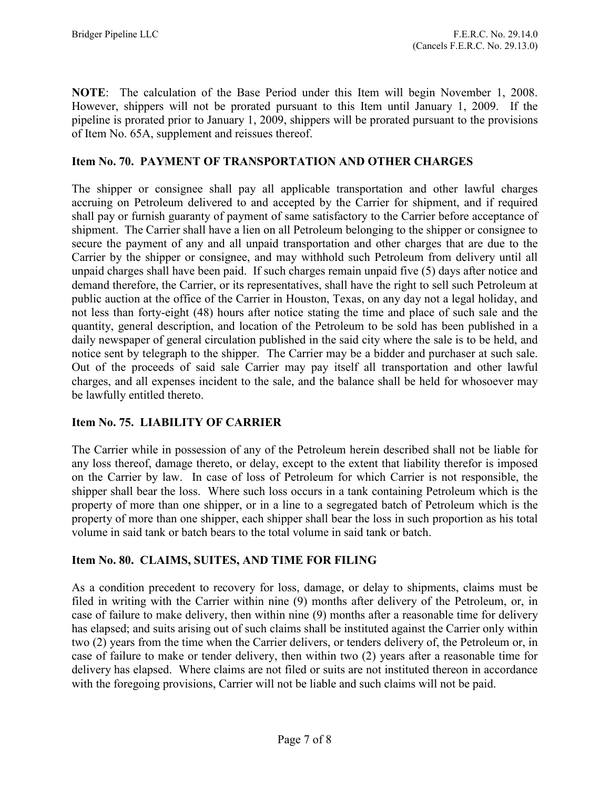**NOTE**: The calculation of the Base Period under this Item will begin November 1, 2008. However, shippers will not be prorated pursuant to this Item until January 1, 2009. If the pipeline is prorated prior to January 1, 2009, shippers will be prorated pursuant to the provisions of Item No. 65A, supplement and reissues thereof.

#### **Item No. 70. PAYMENT OF TRANSPORTATION AND OTHER CHARGES**

The shipper or consignee shall pay all applicable transportation and other lawful charges accruing on Petroleum delivered to and accepted by the Carrier for shipment, and if required shall pay or furnish guaranty of payment of same satisfactory to the Carrier before acceptance of shipment. The Carrier shall have a lien on all Petroleum belonging to the shipper or consignee to secure the payment of any and all unpaid transportation and other charges that are due to the Carrier by the shipper or consignee, and may withhold such Petroleum from delivery until all unpaid charges shall have been paid. If such charges remain unpaid five (5) days after notice and demand therefore, the Carrier, or its representatives, shall have the right to sell such Petroleum at public auction at the office of the Carrier in Houston, Texas, on any day not a legal holiday, and not less than forty-eight (48) hours after notice stating the time and place of such sale and the quantity, general description, and location of the Petroleum to be sold has been published in a daily newspaper of general circulation published in the said city where the sale is to be held, and notice sent by telegraph to the shipper. The Carrier may be a bidder and purchaser at such sale. Out of the proceeds of said sale Carrier may pay itself all transportation and other lawful charges, and all expenses incident to the sale, and the balance shall be held for whosoever may be lawfully entitled thereto.

#### **Item No. 75. LIABILITY OF CARRIER**

The Carrier while in possession of any of the Petroleum herein described shall not be liable for any loss thereof, damage thereto, or delay, except to the extent that liability therefor is imposed on the Carrier by law. In case of loss of Petroleum for which Carrier is not responsible, the shipper shall bear the loss. Where such loss occurs in a tank containing Petroleum which is the property of more than one shipper, or in a line to a segregated batch of Petroleum which is the property of more than one shipper, each shipper shall bear the loss in such proportion as his total volume in said tank or batch bears to the total volume in said tank or batch.

#### **Item No. 80. CLAIMS, SUITES, AND TIME FOR FILING**

As a condition precedent to recovery for loss, damage, or delay to shipments, claims must be filed in writing with the Carrier within nine (9) months after delivery of the Petroleum, or, in case of failure to make delivery, then within nine (9) months after a reasonable time for delivery has elapsed; and suits arising out of such claims shall be instituted against the Carrier only within two (2) years from the time when the Carrier delivers, or tenders delivery of, the Petroleum or, in case of failure to make or tender delivery, then within two (2) years after a reasonable time for delivery has elapsed. Where claims are not filed or suits are not instituted thereon in accordance with the foregoing provisions, Carrier will not be liable and such claims will not be paid.